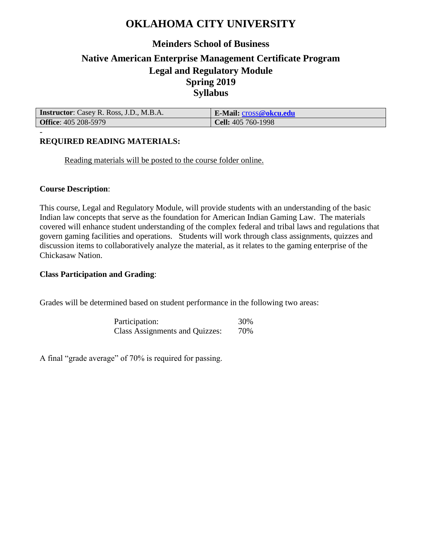## **OKLAHOMA CITY UNIVERSITY**

## **Meinders School of Business Native American Enterprise Management Certificate Program Legal and Regulatory Module Spring 2019 Syllabus**

| <b>Instructor:</b> Casey R. Ross, J.D., M.B.A. | E-Mail: cross@okcu.edu    |
|------------------------------------------------|---------------------------|
| <b>Office: 405 208-5979</b>                    | <b>Cell:</b> 405 760-1998 |

### **REQUIRED READING MATERIALS:**

Reading materials will be posted to the course folder online.

#### **Course Description**:

-

This course, Legal and Regulatory Module, will provide students with an understanding of the basic Indian law concepts that serve as the foundation for American Indian Gaming Law. The materials covered will enhance student understanding of the complex federal and tribal laws and regulations that govern gaming facilities and operations. Students will work through class assignments, quizzes and discussion items to collaboratively analyze the material, as it relates to the gaming enterprise of the Chickasaw Nation.

#### **Class Participation and Grading**:

Grades will be determined based on student performance in the following two areas:

Participation: 30% Class Assignments and Quizzes: 70%

A final "grade average" of 70% is required for passing.